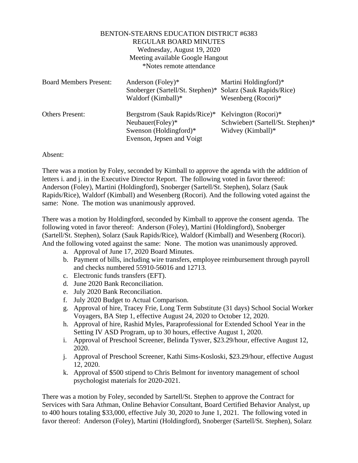## BENTON-STEARNS EDUCATION DISTRICT #6383 REGULAR BOARD MINUTES Wednesday, August 19, 2020 Meeting available Google Hangout \*Notes remote attendance

| <b>Board Members Present:</b> | Anderson (Foley)*<br>Snoberger (Sartell/St. Stephen)*<br>Waldorf (Kimball)*                                 | Martini Holdingford)*<br>Solarz (Sauk Rapids/Rice)<br>Wesenberg $(Rocori)*$    |
|-------------------------------|-------------------------------------------------------------------------------------------------------------|--------------------------------------------------------------------------------|
| <b>Others Present:</b>        | Bergstrom (Sauk Rapids/Rice)*<br>Neubauer(Foley)*<br>Swenson (Holdingford) $*$<br>Evenson, Jepsen and Voigt | Kelvington (Rocori)*<br>Schwiebert (Sartell/St. Stephen)*<br>Widvey (Kimball)* |

## Absent:

There was a motion by Foley, seconded by Kimball to approve the agenda with the addition of letters i. and j. in the Executive Director Report. The following voted in favor thereof: Anderson (Foley), Martini (Holdingford), Snoberger (Sartell/St. Stephen), Solarz (Sauk Rapids/Rice), Waldorf (Kimball) and Wesenberg (Rocori). And the following voted against the same: None. The motion was unanimously approved.

There was a motion by Holdingford, seconded by Kimball to approve the consent agenda. The following voted in favor thereof: Anderson (Foley), Martini (Holdingford), Snoberger (Sartell/St. Stephen), Solarz (Sauk Rapids/Rice), Waldorf (Kimball) and Wesenberg (Rocori). And the following voted against the same: None. The motion was unanimously approved.

- a. Approval of June 17, 2020 Board Minutes.
- b. Payment of bills, including wire transfers, employee reimbursement through payroll and checks numbered 55910-56016 and 12713.
- c. Electronic funds transfers (EFT).
- d. June 2020 Bank Reconciliation.
- e. July 2020 Bank Reconciliation.
- f. July 2020 Budget to Actual Comparison.
- g. Approval of hire, Tracey Frie, Long Term Substitute (31 days) School Social Worker Voyagers, BA Step 1, effective August 24, 2020 to October 12, 2020.
- h. Approval of hire, Rashid Myles, Paraprofessional for Extended School Year in the Setting IV ASD Program, up to 30 hours, effective August 1, 2020.
- i. Approval of Preschool Screener, Belinda Tysver, \$23.29/hour, effective August 12, 2020.
- j. Approval of Preschool Screener, Kathi Sims-Kosloski, \$23.29/hour, effective August 12, 2020.
- k. Approval of \$500 stipend to Chris Belmont for inventory management of school psychologist materials for 2020-2021.

There was a motion by Foley, seconded by Sartell/St. Stephen to approve the Contract for Services with Sara Athman, Online Behavior Consultant, Board Certified Behavior Analyst, up to 400 hours totaling \$33,000, effective July 30, 2020 to June 1, 2021. The following voted in favor thereof: Anderson (Foley), Martini (Holdingford), Snoberger (Sartell/St. Stephen), Solarz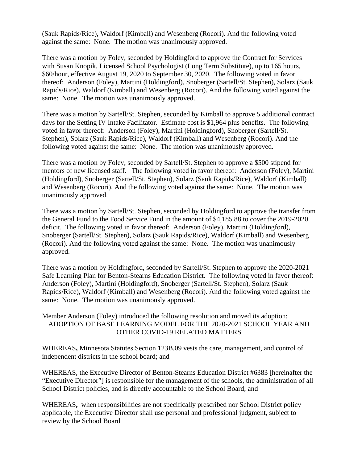(Sauk Rapids/Rice), Waldorf (Kimball) and Wesenberg (Rocori). And the following voted against the same: None. The motion was unanimously approved.

There was a motion by Foley, seconded by Holdingford to approve the Contract for Services with Susan Knopik, Licensed School Psychologist (Long Term Substitute), up to 165 hours, \$60/hour, effective August 19, 2020 to September 30, 2020. The following voted in favor thereof: Anderson (Foley), Martini (Holdingford), Snoberger (Sartell/St. Stephen), Solarz (Sauk Rapids/Rice), Waldorf (Kimball) and Wesenberg (Rocori). And the following voted against the same: None. The motion was unanimously approved.

There was a motion by Sartell/St. Stephen, seconded by Kimball to approve 5 additional contract days for the Setting IV Intake Facilitator. Estimate cost is \$1,964 plus benefits. The following voted in favor thereof: Anderson (Foley), Martini (Holdingford), Snoberger (Sartell/St. Stephen), Solarz (Sauk Rapids/Rice), Waldorf (Kimball) and Wesenberg (Rocori). And the following voted against the same: None. The motion was unanimously approved.

There was a motion by Foley, seconded by Sartell/St. Stephen to approve a \$500 stipend for mentors of new licensed staff. The following voted in favor thereof: Anderson (Foley), Martini (Holdingford), Snoberger (Sartell/St. Stephen), Solarz (Sauk Rapids/Rice), Waldorf (Kimball) and Wesenberg (Rocori). And the following voted against the same: None. The motion was unanimously approved.

There was a motion by Sartell/St. Stephen, seconded by Holdingford to approve the transfer from the General Fund to the Food Service Fund in the amount of \$4,185.88 to cover the 2019-2020 deficit. The following voted in favor thereof: Anderson (Foley), Martini (Holdingford), Snoberger (Sartell/St. Stephen), Solarz (Sauk Rapids/Rice), Waldorf (Kimball) and Wesenberg (Rocori). And the following voted against the same: None. The motion was unanimously approved.

There was a motion by Holdingford, seconded by Sartell/St. Stephen to approve the 2020-2021 Safe Learning Plan for Benton-Stearns Education District. The following voted in favor thereof: Anderson (Foley), Martini (Holdingford), Snoberger (Sartell/St. Stephen), Solarz (Sauk Rapids/Rice), Waldorf (Kimball) and Wesenberg (Rocori). And the following voted against the same: None. The motion was unanimously approved.

## Member Anderson (Foley) introduced the following resolution and moved its adoption: ADOPTION OF BASE LEARNING MODEL FOR THE 2020-2021 SCHOOL YEAR AND OTHER COVID-19 RELATED MATTERS

WHEREAS**,** Minnesota Statutes Section 123B.09 vests the care, management, and control of independent districts in the school board; and

WHEREAS, the Executive Director of Benton-Stearns Education District #6383 [hereinafter the "Executive Director"] is responsible for the management of the schools, the administration of all School District policies, and is directly accountable to the School Board; and

WHEREAS**,** when responsibilities are not specifically prescribed nor School District policy applicable, the Executive Director shall use personal and professional judgment, subject to review by the School Board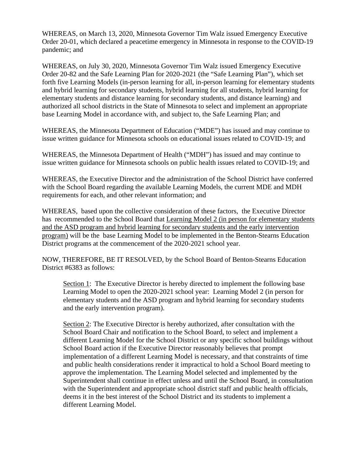WHEREAS, on March 13, 2020, Minnesota Governor Tim Walz issued Emergency Executive Order 20-01, which declared a peacetime emergency in Minnesota in response to the COVID-19 pandemic; and

WHEREAS, on July 30, 2020, Minnesota Governor Tim Walz issued Emergency Executive Order 20-82 and the Safe Learning Plan for 2020-2021 (the "Safe Learning Plan"), which set forth five Learning Models (in-person learning for all, in-person learning for elementary students and hybrid learning for secondary students, hybrid learning for all students, hybrid learning for elementary students and distance learning for secondary students, and distance learning) and authorized all school districts in the State of Minnesota to select and implement an appropriate base Learning Model in accordance with, and subject to, the Safe Learning Plan; and

WHEREAS, the Minnesota Department of Education ("MDE") has issued and may continue to issue written guidance for Minnesota schools on educational issues related to COVID-19; and

WHEREAS, the Minnesota Department of Health ("MDH") has issued and may continue to issue written guidance for Minnesota schools on public health issues related to COVID-19; and

WHEREAS, the Executive Director and the administration of the School District have conferred with the School Board regarding the available Learning Models, the current MDE and MDH requirements for each, and other relevant information; and

WHEREAS, based upon the collective consideration of these factors, the Executive Director has recommended to the School Board that Learning Model 2 (in person for elementary students and the ASD program and hybrid learning for secondary students and the early intervention program) will be the base Learning Model to be implemented in the Benton-Stearns Education District programs at the commencement of the 2020-2021 school year.

NOW, THEREFORE, BE IT RESOLVED, by the School Board of Benton-Stearns Education District #6383 as follows:

Section 1: The Executive Director is hereby directed to implement the following base Learning Model to open the 2020-2021 school year: Learning Model 2 (in person for elementary students and the ASD program and hybrid learning for secondary students and the early intervention program).

Section 2: The Executive Director is hereby authorized, after consultation with the School Board Chair and notification to the School Board, to select and implement a different Learning Model for the School District or any specific school buildings without School Board action if the Executive Director reasonably believes that prompt implementation of a different Learning Model is necessary, and that constraints of time and public health considerations render it impractical to hold a School Board meeting to approve the implementation. The Learning Model selected and implemented by the Superintendent shall continue in effect unless and until the School Board, in consultation with the Superintendent and appropriate school district staff and public health officials, deems it in the best interest of the School District and its students to implement a different Learning Model.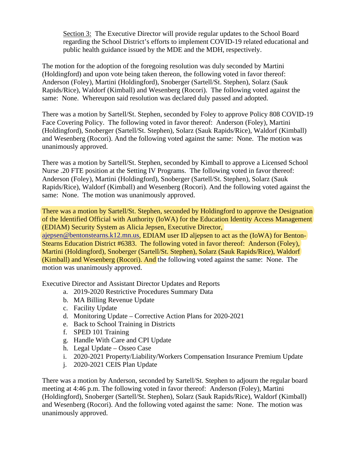Section 3: The Executive Director will provide regular updates to the School Board regarding the School District's efforts to implement COVID-19 related educational and public health guidance issued by the MDE and the MDH, respectively.

The motion for the adoption of the foregoing resolution was duly seconded by Martini (Holdingford) and upon vote being taken thereon, the following voted in favor thereof: Anderson (Foley), Martini (Holdingford), Snoberger (Sartell/St. Stephen), Solarz (Sauk Rapids/Rice), Waldorf (Kimball) and Wesenberg (Rocori). The following voted against the same: None. Whereupon said resolution was declared duly passed and adopted.

There was a motion by Sartell/St. Stephen, seconded by Foley to approve Policy 808 COVID-19 Face Covering Policy. The following voted in favor thereof: Anderson (Foley), Martini (Holdingford), Snoberger (Sartell/St. Stephen), Solarz (Sauk Rapids/Rice), Waldorf (Kimball) and Wesenberg (Rocori). And the following voted against the same: None. The motion was unanimously approved.

There was a motion by Sartell/St. Stephen, seconded by Kimball to approve a Licensed School Nurse .20 FTE position at the Setting IV Programs. The following voted in favor thereof: Anderson (Foley), Martini (Holdingford), Snoberger (Sartell/St. Stephen), Solarz (Sauk Rapids/Rice), Waldorf (Kimball) and Wesenberg (Rocori). And the following voted against the same: None. The motion was unanimously approved.

There was a motion by Sartell/St. Stephen, seconded by Holdingford to approve the Designation of the Identified Official with Authority (IoWA) for the Education Identity Access Management (EDIAM) Security System as Alicia Jepsen, Executive Director,

[ajepsen@bentonstearns.k12.mn.us,](mailto:ajepsen@bentonstearns.k12.mn.us) EDIAM user ID aljepsen to act as the (IoWA) for Benton-Stearns Education District #6383. The following voted in favor thereof: Anderson (Foley), Martini (Holdingford), Snoberger (Sartell/St. Stephen), Solarz (Sauk Rapids/Rice), Waldorf (Kimball) and Wesenberg (Rocori). And the following voted against the same: None. The motion was unanimously approved.

Executive Director and Assistant Director Updates and Reports

- a. 2019-2020 Restrictive Procedures Summary Data
- b. MA Billing Revenue Update
- c. Facility Update
- d. Monitoring Update Corrective Action Plans for 2020-2021
- e. Back to School Training in Districts
- f. SPED 101 Training
- g. Handle With Care and CPI Update
- h. Legal Update Osseo Case
- i. 2020-2021 Property/Liability/Workers Compensation Insurance Premium Update
- j. 2020-2021 CEIS Plan Update

There was a motion by Anderson, seconded by Sartell/St. Stephen to adjourn the regular board meeting at 4:46 p.m. The following voted in favor thereof: Anderson (Foley), Martini (Holdingford), Snoberger (Sartell/St. Stephen), Solarz (Sauk Rapids/Rice), Waldorf (Kimball) and Wesenberg (Rocori). And the following voted against the same: None. The motion was unanimously approved.